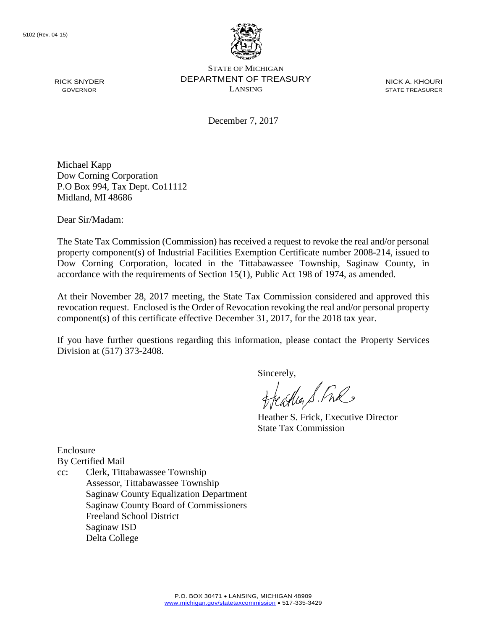

NICK A. KHOURI STATE TREASURER

December 7, 2017

Michael Kapp Dow Corning Corporation P.O Box 994, Tax Dept. Co11112 Midland, MI 48686

Dear Sir/Madam:

RICK SNYDER GOVERNOR

The State Tax Commission (Commission) has received a request to revoke the real and/or personal property component(s) of Industrial Facilities Exemption Certificate number 2008-214, issued to Dow Corning Corporation, located in the Tittabawassee Township, Saginaw County, in accordance with the requirements of Section 15(1), Public Act 198 of 1974, as amended.

At their November 28, 2017 meeting, the State Tax Commission considered and approved this revocation request. Enclosed is the Order of Revocation revoking the real and/or personal property component(s) of this certificate effective December 31, 2017, for the 2018 tax year.

If you have further questions regarding this information, please contact the Property Services Division at (517) 373-2408.

Sincerely,

castia S. Free

Heather S. Frick, Executive Director State Tax Commission

Enclosure By Certified Mail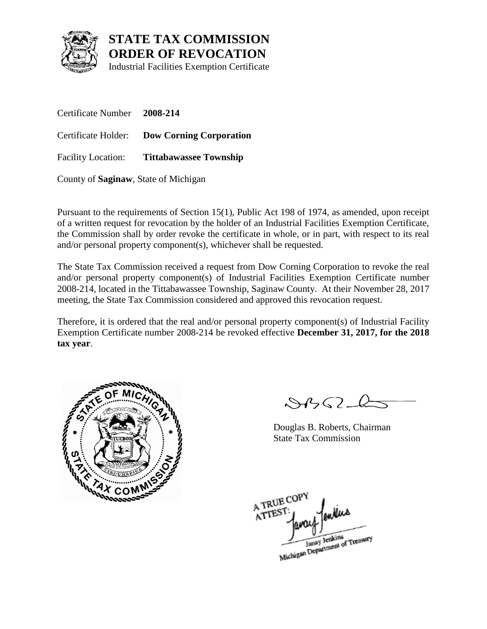

Industrial Facilities Exemption Certificate

Certificate Number **2008-214** Certificate Holder: **Dow Corning Corporation** Facility Location: **Tittabawassee Township**

County of **Saginaw**, State of Michigan

Pursuant to the requirements of Section 15(1), Public Act 198 of 1974, as amended, upon receipt of a written request for revocation by the holder of an Industrial Facilities Exemption Certificate, the Commission shall by order revoke the certificate in whole, or in part, with respect to its real and/or personal property component(s), whichever shall be requested.

The State Tax Commission received a request from Dow Corning Corporation to revoke the real and/or personal property component(s) of Industrial Facilities Exemption Certificate number 2008-214, located in the Tittabawassee Township, Saginaw County. At their November 28, 2017 meeting, the State Tax Commission considered and approved this revocation request.

Therefore, it is ordered that the real and/or personal property component(s) of Industrial Facility Exemption Certificate number 2008-214 be revoked effective **December 31, 2017, for the 2018 tax year**.



 $\mathcal{S}4\mathcal{G}2\mathcal{L}$ 

Douglas B. Roberts, Chairman State Tax Commission

A TRUE COP ATTEST Janay Jenkins<br>Michigan Department of Treasury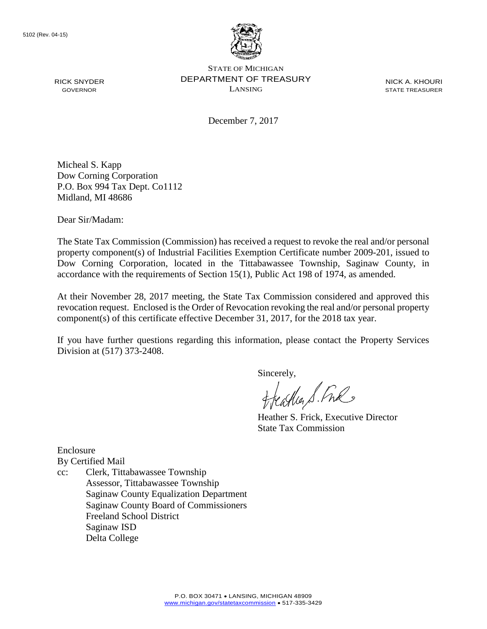

NICK A. KHOURI STATE TREASURER

December 7, 2017

Micheal S. Kapp Dow Corning Corporation P.O. Box 994 Tax Dept. Co1112 Midland, MI 48686

Dear Sir/Madam:

RICK SNYDER GOVERNOR

The State Tax Commission (Commission) has received a request to revoke the real and/or personal property component(s) of Industrial Facilities Exemption Certificate number 2009-201, issued to Dow Corning Corporation, located in the Tittabawassee Township, Saginaw County, in accordance with the requirements of Section 15(1), Public Act 198 of 1974, as amended.

At their November 28, 2017 meeting, the State Tax Commission considered and approved this revocation request. Enclosed is the Order of Revocation revoking the real and/or personal property component(s) of this certificate effective December 31, 2017, for the 2018 tax year.

If you have further questions regarding this information, please contact the Property Services Division at (517) 373-2408.

Sincerely,

castia S. Free

Heather S. Frick, Executive Director State Tax Commission

Enclosure By Certified Mail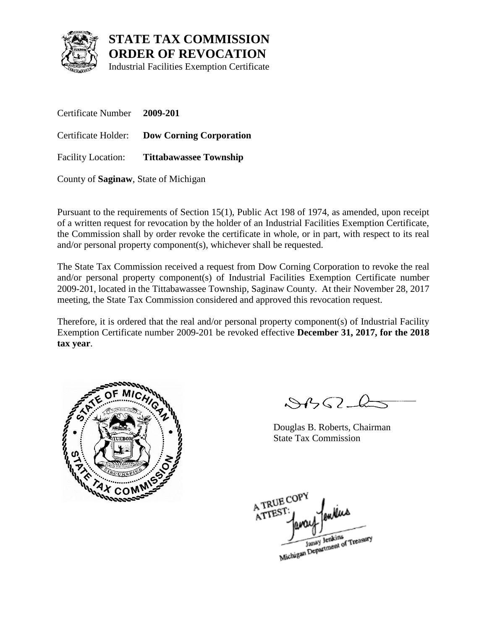

Industrial Facilities Exemption Certificate

Certificate Number **2009-201** Certificate Holder: **Dow Corning Corporation** Facility Location: **Tittabawassee Township**

County of **Saginaw**, State of Michigan

Pursuant to the requirements of Section 15(1), Public Act 198 of 1974, as amended, upon receipt of a written request for revocation by the holder of an Industrial Facilities Exemption Certificate, the Commission shall by order revoke the certificate in whole, or in part, with respect to its real and/or personal property component(s), whichever shall be requested.

The State Tax Commission received a request from Dow Corning Corporation to revoke the real and/or personal property component(s) of Industrial Facilities Exemption Certificate number 2009-201, located in the Tittabawassee Township, Saginaw County. At their November 28, 2017 meeting, the State Tax Commission considered and approved this revocation request.

Therefore, it is ordered that the real and/or personal property component(s) of Industrial Facility Exemption Certificate number 2009-201 be revoked effective **December 31, 2017, for the 2018 tax year**.



 $\mathcal{S}4\mathcal{G}2\mathcal{L}$ 

Douglas B. Roberts, Chairman State Tax Commission

A TRUE COP ATTEST Janay Jenkins<br>Michigan Department of Treasury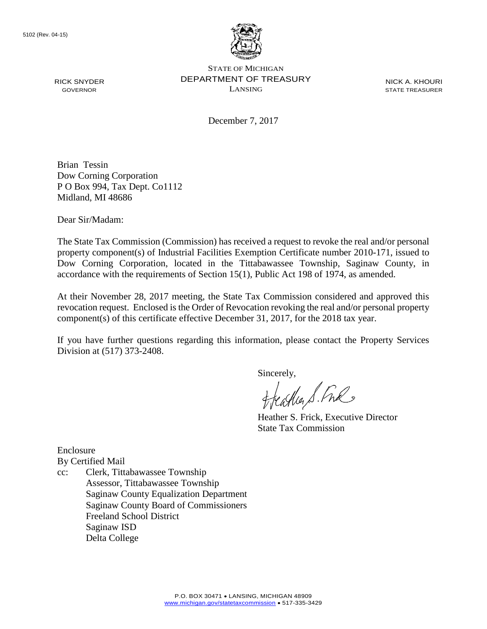

NICK A. KHOURI STATE TREASURER

December 7, 2017

Brian Tessin Dow Corning Corporation P O Box 994, Tax Dept. Co1112 Midland, MI 48686

Dear Sir/Madam:

RICK SNYDER GOVERNOR

The State Tax Commission (Commission) has received a request to revoke the real and/or personal property component(s) of Industrial Facilities Exemption Certificate number 2010-171, issued to Dow Corning Corporation, located in the Tittabawassee Township, Saginaw County, in accordance with the requirements of Section 15(1), Public Act 198 of 1974, as amended.

At their November 28, 2017 meeting, the State Tax Commission considered and approved this revocation request. Enclosed is the Order of Revocation revoking the real and/or personal property component(s) of this certificate effective December 31, 2017, for the 2018 tax year.

If you have further questions regarding this information, please contact the Property Services Division at (517) 373-2408.

Sincerely,

treastly S. Fre

Heather S. Frick, Executive Director State Tax Commission

Enclosure By Certified Mail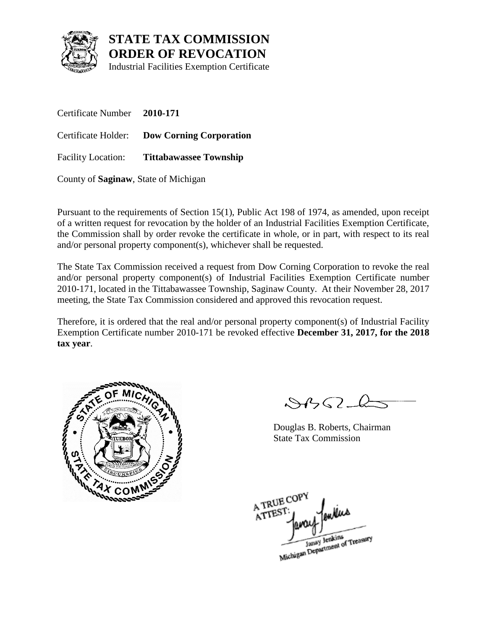

Industrial Facilities Exemption Certificate

Certificate Number **2010-171** Certificate Holder: **Dow Corning Corporation** Facility Location: **Tittabawassee Township**

County of **Saginaw**, State of Michigan

Pursuant to the requirements of Section 15(1), Public Act 198 of 1974, as amended, upon receipt of a written request for revocation by the holder of an Industrial Facilities Exemption Certificate, the Commission shall by order revoke the certificate in whole, or in part, with respect to its real and/or personal property component(s), whichever shall be requested.

The State Tax Commission received a request from Dow Corning Corporation to revoke the real and/or personal property component(s) of Industrial Facilities Exemption Certificate number 2010-171, located in the Tittabawassee Township, Saginaw County. At their November 28, 2017 meeting, the State Tax Commission considered and approved this revocation request.

Therefore, it is ordered that the real and/or personal property component(s) of Industrial Facility Exemption Certificate number 2010-171 be revoked effective **December 31, 2017, for the 2018 tax year**.



 $\mathcal{S}4\mathcal{G}2\mathcal{L}$ 

Douglas B. Roberts, Chairman State Tax Commission

A TRUE COP ATTEST Janay Jenkins<br>Michigan Department of Treasury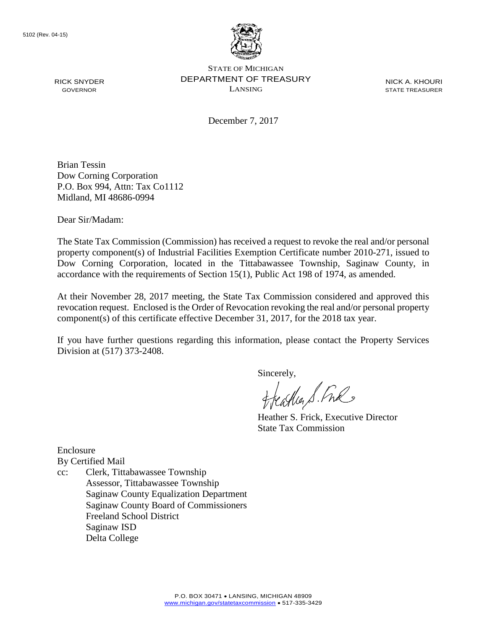

NICK A. KHOURI STATE TREASURER

December 7, 2017

Brian Tessin Dow Corning Corporation P.O. Box 994, Attn: Tax Co1112 Midland, MI 48686-0994

Dear Sir/Madam:

RICK SNYDER GOVERNOR

The State Tax Commission (Commission) has received a request to revoke the real and/or personal property component(s) of Industrial Facilities Exemption Certificate number 2010-271, issued to Dow Corning Corporation, located in the Tittabawassee Township, Saginaw County, in accordance with the requirements of Section 15(1), Public Act 198 of 1974, as amended.

At their November 28, 2017 meeting, the State Tax Commission considered and approved this revocation request. Enclosed is the Order of Revocation revoking the real and/or personal property component(s) of this certificate effective December 31, 2017, for the 2018 tax year.

If you have further questions regarding this information, please contact the Property Services Division at (517) 373-2408.

Sincerely,

treastly S. Fre

Heather S. Frick, Executive Director State Tax Commission

Enclosure By Certified Mail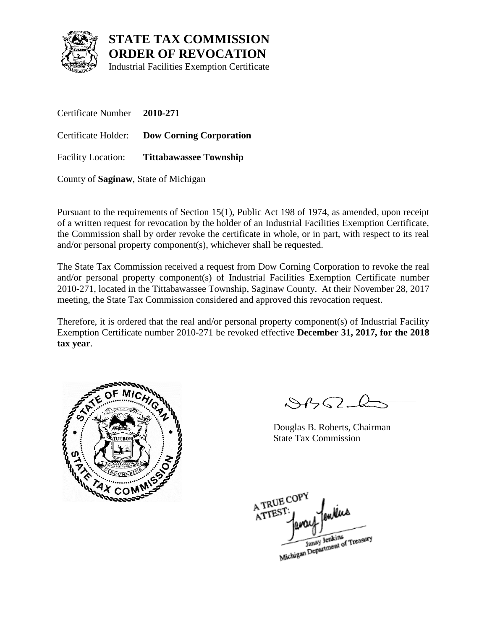

Industrial Facilities Exemption Certificate

Certificate Number **2010-271** Certificate Holder: **Dow Corning Corporation** Facility Location: **Tittabawassee Township**

County of **Saginaw**, State of Michigan

Pursuant to the requirements of Section 15(1), Public Act 198 of 1974, as amended, upon receipt of a written request for revocation by the holder of an Industrial Facilities Exemption Certificate, the Commission shall by order revoke the certificate in whole, or in part, with respect to its real and/or personal property component(s), whichever shall be requested.

The State Tax Commission received a request from Dow Corning Corporation to revoke the real and/or personal property component(s) of Industrial Facilities Exemption Certificate number 2010-271, located in the Tittabawassee Township, Saginaw County. At their November 28, 2017 meeting, the State Tax Commission considered and approved this revocation request.

Therefore, it is ordered that the real and/or personal property component(s) of Industrial Facility Exemption Certificate number 2010-271 be revoked effective **December 31, 2017, for the 2018 tax year**.



 $\mathcal{S}4\mathcal{G}2\mathcal{L}$ 

Douglas B. Roberts, Chairman State Tax Commission

A TRUE COP ATTEST Janay Jenkins<br>Michigan Department of Treasury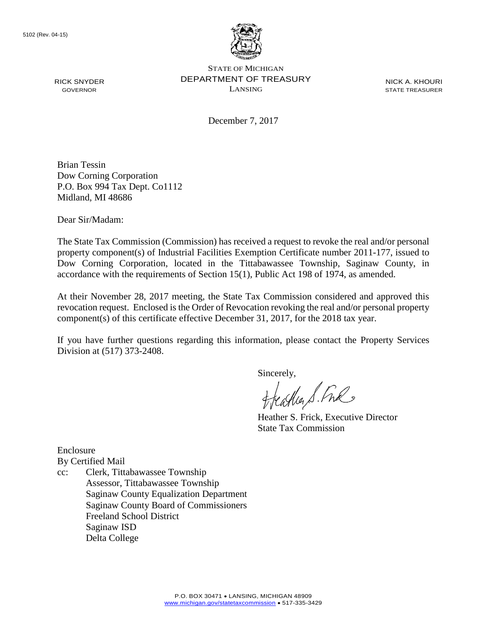

NICK A. KHOURI STATE TREASURER

December 7, 2017

Brian Tessin Dow Corning Corporation P.O. Box 994 Tax Dept. Co1112 Midland, MI 48686

Dear Sir/Madam:

RICK SNYDER GOVERNOR

The State Tax Commission (Commission) has received a request to revoke the real and/or personal property component(s) of Industrial Facilities Exemption Certificate number 2011-177, issued to Dow Corning Corporation, located in the Tittabawassee Township, Saginaw County, in accordance with the requirements of Section 15(1), Public Act 198 of 1974, as amended.

At their November 28, 2017 meeting, the State Tax Commission considered and approved this revocation request. Enclosed is the Order of Revocation revoking the real and/or personal property component(s) of this certificate effective December 31, 2017, for the 2018 tax year.

If you have further questions regarding this information, please contact the Property Services Division at (517) 373-2408.

Sincerely,

castia S. Free

Heather S. Frick, Executive Director State Tax Commission

Enclosure By Certified Mail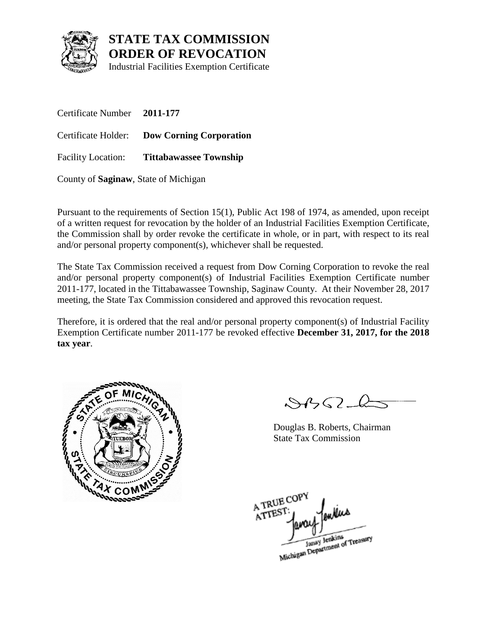

Industrial Facilities Exemption Certificate

Certificate Number **2011-177** Certificate Holder: **Dow Corning Corporation** Facility Location: **Tittabawassee Township**

County of **Saginaw**, State of Michigan

Pursuant to the requirements of Section 15(1), Public Act 198 of 1974, as amended, upon receipt of a written request for revocation by the holder of an Industrial Facilities Exemption Certificate, the Commission shall by order revoke the certificate in whole, or in part, with respect to its real and/or personal property component(s), whichever shall be requested.

The State Tax Commission received a request from Dow Corning Corporation to revoke the real and/or personal property component(s) of Industrial Facilities Exemption Certificate number 2011-177, located in the Tittabawassee Township, Saginaw County. At their November 28, 2017 meeting, the State Tax Commission considered and approved this revocation request.

Therefore, it is ordered that the real and/or personal property component(s) of Industrial Facility Exemption Certificate number 2011-177 be revoked effective **December 31, 2017, for the 2018 tax year**.



 $\mathcal{S}4\mathcal{G}2\mathcal{L}$ 

Douglas B. Roberts, Chairman State Tax Commission

A TRUE COP ATTEST Janay Jenkins<br>Michigan Department of Treasury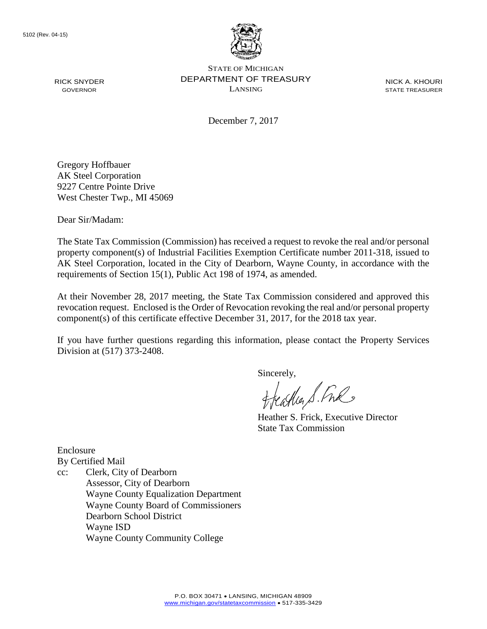

NICK A. KHOURI STATE TREASURER

December 7, 2017

Gregory Hoffbauer AK Steel Corporation 9227 Centre Pointe Drive West Chester Twp., MI 45069

Dear Sir/Madam:

RICK SNYDER GOVERNOR

The State Tax Commission (Commission) has received a request to revoke the real and/or personal property component(s) of Industrial Facilities Exemption Certificate number 2011-318, issued to AK Steel Corporation, located in the City of Dearborn, Wayne County, in accordance with the requirements of Section 15(1), Public Act 198 of 1974, as amended.

At their November 28, 2017 meeting, the State Tax Commission considered and approved this revocation request. Enclosed is the Order of Revocation revoking the real and/or personal property component(s) of this certificate effective December 31, 2017, for the 2018 tax year.

If you have further questions regarding this information, please contact the Property Services Division at (517) 373-2408.

Sincerely,

castia S. Free

Heather S. Frick, Executive Director State Tax Commission

Enclosure By Certified Mail

cc: Clerk, City of Dearborn Assessor, City of Dearborn Wayne County Equalization Department Wayne County Board of Commissioners Dearborn School District Wayne ISD Wayne County Community College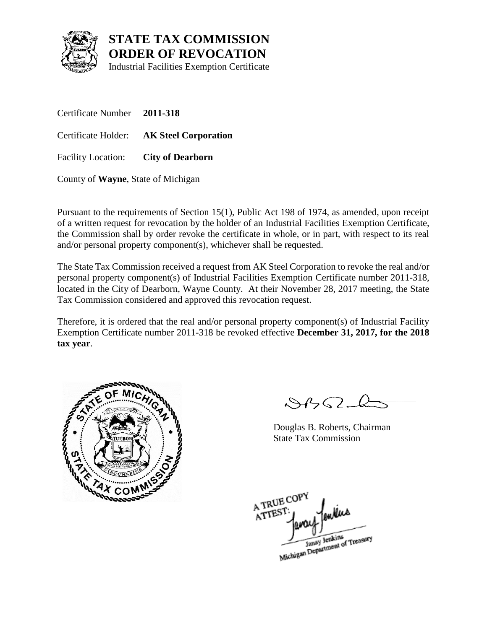

Industrial Facilities Exemption Certificate

Certificate Number **2011-318** Certificate Holder: **AK Steel Corporation** Facility Location: **City of Dearborn**

County of **Wayne**, State of Michigan

Pursuant to the requirements of Section 15(1), Public Act 198 of 1974, as amended, upon receipt of a written request for revocation by the holder of an Industrial Facilities Exemption Certificate, the Commission shall by order revoke the certificate in whole, or in part, with respect to its real and/or personal property component(s), whichever shall be requested.

The State Tax Commission received a request from AK Steel Corporation to revoke the real and/or personal property component(s) of Industrial Facilities Exemption Certificate number 2011-318, located in the City of Dearborn, Wayne County. At their November 28, 2017 meeting, the State Tax Commission considered and approved this revocation request.

Therefore, it is ordered that the real and/or personal property component(s) of Industrial Facility Exemption Certificate number 2011-318 be revoked effective **December 31, 2017, for the 2018 tax year**.



 $\mathcal{S}4\mathcal{G}2\mathcal{L}$ 

Douglas B. Roberts, Chairman State Tax Commission

A TRUE COP ATTEST Janay Jenkins<br>Michigan Department of Treasury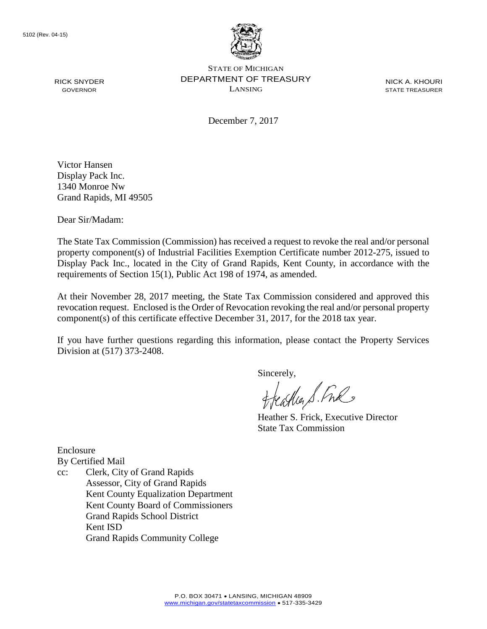

NICK A. KHOURI STATE TREASURER

December 7, 2017

Victor Hansen Display Pack Inc. 1340 Monroe Nw Grand Rapids, MI 49505

Dear Sir/Madam:

RICK SNYDER GOVERNOR

The State Tax Commission (Commission) has received a request to revoke the real and/or personal property component(s) of Industrial Facilities Exemption Certificate number 2012-275, issued to Display Pack Inc., located in the City of Grand Rapids, Kent County, in accordance with the requirements of Section 15(1), Public Act 198 of 1974, as amended.

At their November 28, 2017 meeting, the State Tax Commission considered and approved this revocation request. Enclosed is the Order of Revocation revoking the real and/or personal property component(s) of this certificate effective December 31, 2017, for the 2018 tax year.

If you have further questions regarding this information, please contact the Property Services Division at (517) 373-2408.

Sincerely,

castia S. Free

Heather S. Frick, Executive Director State Tax Commission

Enclosure By Certified Mail

cc: Clerk, City of Grand Rapids Assessor, City of Grand Rapids Kent County Equalization Department Kent County Board of Commissioners Grand Rapids School District Kent ISD Grand Rapids Community College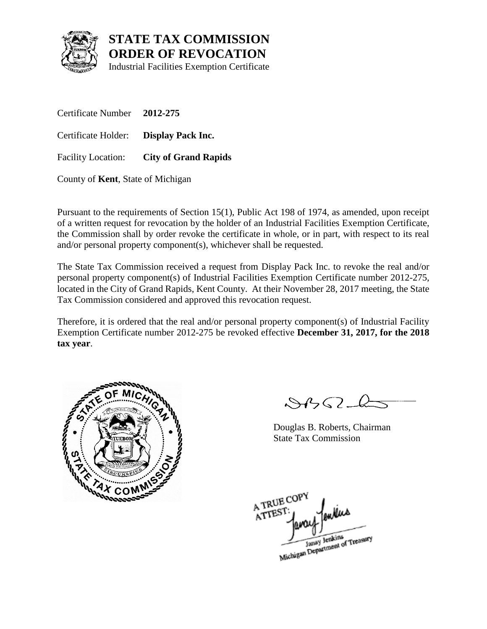

Industrial Facilities Exemption Certificate

Certificate Number **2012-275** Certificate Holder: **Display Pack Inc.** Facility Location: **City of Grand Rapids**

County of **Kent**, State of Michigan

Pursuant to the requirements of Section 15(1), Public Act 198 of 1974, as amended, upon receipt of a written request for revocation by the holder of an Industrial Facilities Exemption Certificate, the Commission shall by order revoke the certificate in whole, or in part, with respect to its real and/or personal property component(s), whichever shall be requested.

The State Tax Commission received a request from Display Pack Inc. to revoke the real and/or personal property component(s) of Industrial Facilities Exemption Certificate number 2012-275, located in the City of Grand Rapids, Kent County. At their November 28, 2017 meeting, the State Tax Commission considered and approved this revocation request.

Therefore, it is ordered that the real and/or personal property component(s) of Industrial Facility Exemption Certificate number 2012-275 be revoked effective **December 31, 2017, for the 2018 tax year**.



 $\mathcal{S}4\mathcal{G}2\mathcal{L}$ 

Douglas B. Roberts, Chairman State Tax Commission

A TRUE COP ATTEST Janay Jenkins<br>Michigan Department of Treasury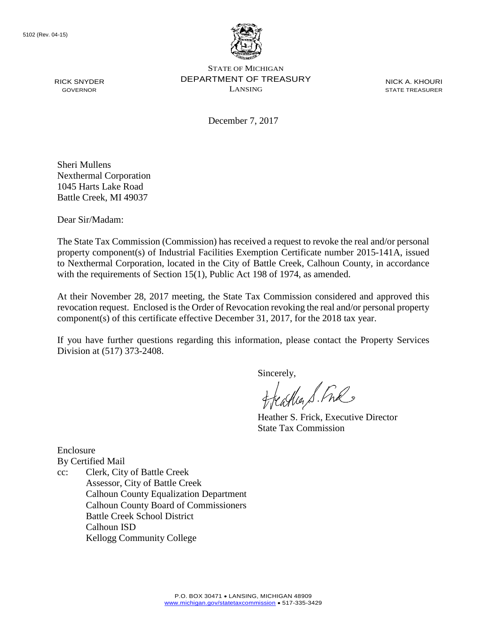

NICK A. KHOURI STATE TREASURER

December 7, 2017

Sheri Mullens Nexthermal Corporation 1045 Harts Lake Road Battle Creek, MI 49037

Dear Sir/Madam:

RICK SNYDER GOVERNOR

The State Tax Commission (Commission) has received a request to revoke the real and/or personal property component(s) of Industrial Facilities Exemption Certificate number 2015-141A, issued to Nexthermal Corporation, located in the City of Battle Creek, Calhoun County, in accordance with the requirements of Section 15(1), Public Act 198 of 1974, as amended.

At their November 28, 2017 meeting, the State Tax Commission considered and approved this revocation request. Enclosed is the Order of Revocation revoking the real and/or personal property component(s) of this certificate effective December 31, 2017, for the 2018 tax year.

If you have further questions regarding this information, please contact the Property Services Division at (517) 373-2408.

Sincerely,

Cather S. Free

Heather S. Frick, Executive Director State Tax Commission

Enclosure By Certified Mail

cc: Clerk, City of Battle Creek Assessor, City of Battle Creek Calhoun County Equalization Department Calhoun County Board of Commissioners Battle Creek School District Calhoun ISD Kellogg Community College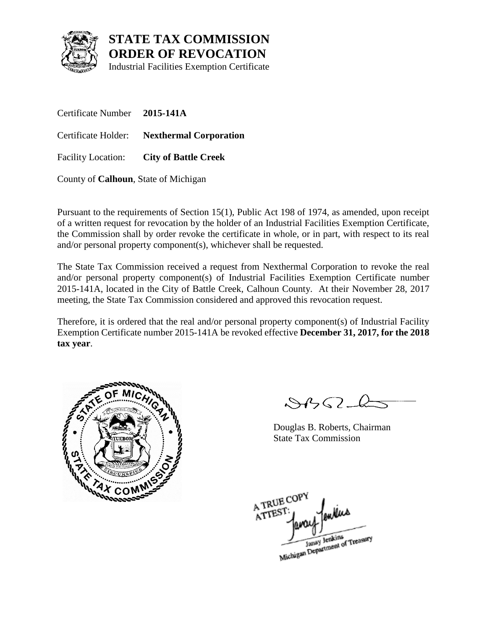

Industrial Facilities Exemption Certificate

Certificate Number **2015-141A** Certificate Holder: **Nexthermal Corporation** Facility Location: **City of Battle Creek**

County of **Calhoun**, State of Michigan

Pursuant to the requirements of Section 15(1), Public Act 198 of 1974, as amended, upon receipt of a written request for revocation by the holder of an Industrial Facilities Exemption Certificate, the Commission shall by order revoke the certificate in whole, or in part, with respect to its real and/or personal property component(s), whichever shall be requested.

The State Tax Commission received a request from Nexthermal Corporation to revoke the real and/or personal property component(s) of Industrial Facilities Exemption Certificate number 2015-141A, located in the City of Battle Creek, Calhoun County. At their November 28, 2017 meeting, the State Tax Commission considered and approved this revocation request.

Therefore, it is ordered that the real and/or personal property component(s) of Industrial Facility Exemption Certificate number 2015-141A be revoked effective **December 31, 2017, for the 2018 tax year**.



 $\mathcal{S}4\mathcal{G}2\mathcal{L}$ 

Douglas B. Roberts, Chairman State Tax Commission

A TRUE COP ATTEST Janay Jenkins<br>Michigan Department of Treasury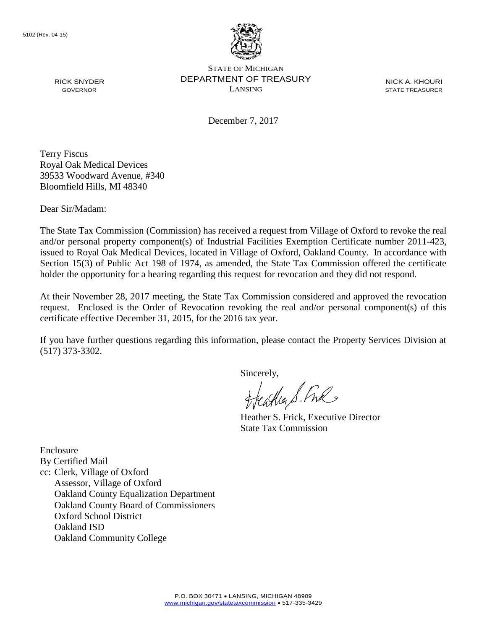

NICK A. KHOURI STATE TREASURER

December 7, 2017

Terry Fiscus Royal Oak Medical Devices 39533 Woodward Avenue, #340 Bloomfield Hills, MI 48340

Dear Sir/Madam:

RICK SNYDER GOVERNOR

The State Tax Commission (Commission) has received a request from Village of Oxford to revoke the real and/or personal property component(s) of Industrial Facilities Exemption Certificate number 2011-423, issued to Royal Oak Medical Devices, located in Village of Oxford, Oakland County. In accordance with Section 15(3) of Public Act 198 of 1974, as amended, the State Tax Commission offered the certificate holder the opportunity for a hearing regarding this request for revocation and they did not respond.

At their November 28, 2017 meeting, the State Tax Commission considered and approved the revocation request. Enclosed is the Order of Revocation revoking the real and/or personal component(s) of this certificate effective December 31, 2015, for the 2016 tax year.

If you have further questions regarding this information, please contact the Property Services Division at (517) 373-3302.

Sincerely,

castia S. Free

Heather S. Frick, Executive Director State Tax Commission

Enclosure By Certified Mail cc: Clerk, Village of Oxford Assessor, Village of Oxford Oakland County Equalization Department Oakland County Board of Commissioners Oxford School District Oakland ISD Oakland Community College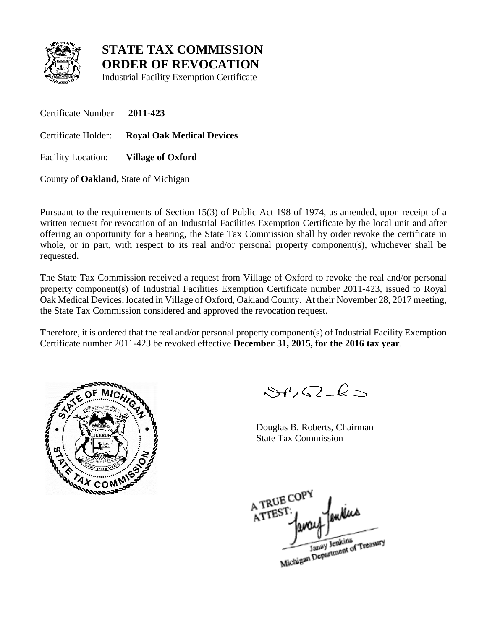

Industrial Facility Exemption Certificate

Certificate Number **2011-423**

Certificate Holder: **Royal Oak Medical Devices**

Facility Location: **Village of Oxford**

County of **Oakland,** State of Michigan

Pursuant to the requirements of Section 15(3) of Public Act 198 of 1974, as amended, upon receipt of a written request for revocation of an Industrial Facilities Exemption Certificate by the local unit and after offering an opportunity for a hearing, the State Tax Commission shall by order revoke the certificate in whole, or in part, with respect to its real and/or personal property component(s), whichever shall be requested.

The State Tax Commission received a request from Village of Oxford to revoke the real and/or personal property component(s) of Industrial Facilities Exemption Certificate number 2011-423, issued to Royal Oak Medical Devices, located in Village of Oxford, Oakland County. At their November 28, 2017 meeting, the State Tax Commission considered and approved the revocation request.

Therefore, it is ordered that the real and/or personal property component(s) of Industrial Facility Exemption Certificate number 2011-423 be revoked effective **December 31, 2015, for the 2016 tax year**.



 $8452 - 6$ 

Douglas B. Roberts, Chairman State Tax Commission

A TRUE COP A TREST

Janay Jenkins<br>Michigan Department of Treasury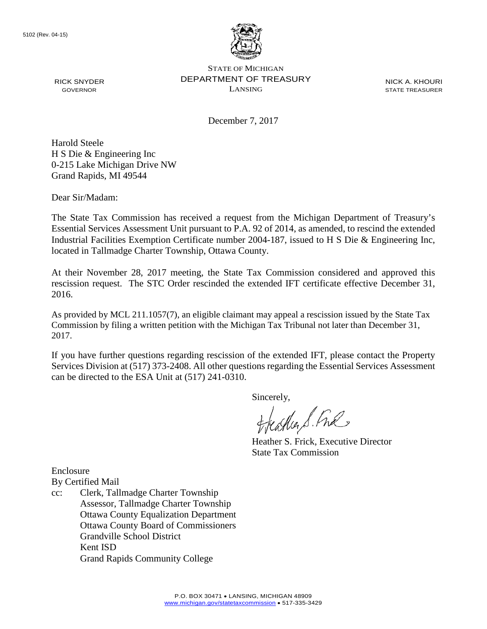

NICK A. KHOURI STATE TREASURER

December 7, 2017

Harold Steele H S Die & Engineering Inc 0-215 Lake Michigan Drive NW Grand Rapids, MI 49544

Dear Sir/Madam:

RICK SNYDER GOVERNOR

The State Tax Commission has received a request from the Michigan Department of Treasury's Essential Services Assessment Unit pursuant to P.A. 92 of 2014, as amended, to rescind the extended Industrial Facilities Exemption Certificate number 2004-187, issued to H S Die & Engineering Inc, located in Tallmadge Charter Township, Ottawa County.

At their November 28, 2017 meeting, the State Tax Commission considered and approved this rescission request. The STC Order rescinded the extended IFT certificate effective December 31, 2016.

As provided by MCL 211.1057(7), an eligible claimant may appeal a rescission issued by the State Tax Commission by filing a written petition with the Michigan Tax Tribunal not later than December 31, 2017.

If you have further questions regarding rescission of the extended IFT, please contact the Property Services Division at (517) 373-2408. All other questions regarding the Essential Services Assessment can be directed to the ESA Unit at (517) 241-0310.

Sincerely,<br>freathers fine

Heather S. Frick, Executive Director State Tax Commission

Enclosure

- By Certified Mail
- cc: Clerk, Tallmadge Charter Township Assessor, Tallmadge Charter Township Ottawa County Equalization Department Ottawa County Board of Commissioners Grandville School District Kent ISD Grand Rapids Community College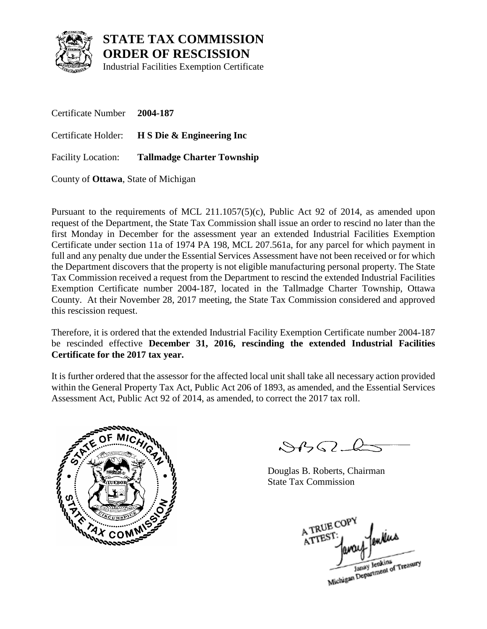

**STATE TAX COMMISSION ORDER OF RESCISSION**

Industrial Facilities Exemption Certificate

Certificate Number **2004-187** Certificate Holder: **H S Die & Engineering Inc** Facility Location: **Tallmadge Charter Township**

County of **Ottawa**, State of Michigan

Pursuant to the requirements of MCL 211.1057(5)(c), Public Act 92 of 2014, as amended upon request of the Department, the State Tax Commission shall issue an order to rescind no later than the first Monday in December for the assessment year an extended Industrial Facilities Exemption Certificate under section 11a of 1974 PA 198, MCL 207.561a, for any parcel for which payment in full and any penalty due under the Essential Services Assessment have not been received or for which the Department discovers that the property is not eligible manufacturing personal property. The State Tax Commission received a request from the Department to rescind the extended Industrial Facilities Exemption Certificate number 2004-187, located in the Tallmadge Charter Township, Ottawa County. At their November 28, 2017 meeting, the State Tax Commission considered and approved this rescission request.

Therefore, it is ordered that the extended Industrial Facility Exemption Certificate number 2004-187 be rescinded effective **December 31, 2016, rescinding the extended Industrial Facilities Certificate for the 2017 tax year.**

It is further ordered that the assessor for the affected local unit shall take all necessary action provided within the General Property Tax Act, Public Act 206 of 1893, as amended, and the Essential Services Assessment Act, Public Act 92 of 2014, as amended, to correct the 2017 tax roll.



 $84562$ 

Douglas B. Roberts, Chairman State Tax Commission

A TRUE COP fenders ATTEST Janay Jenkins<br>Michigan Department of Treasury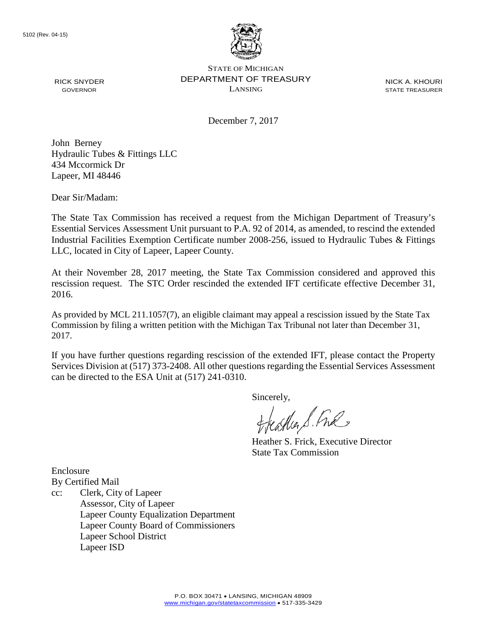

NICK A. KHOURI STATE TREASURER

December 7, 2017

John Berney Hydraulic Tubes & Fittings LLC 434 Mccormick Dr Lapeer, MI 48446

Dear Sir/Madam:

RICK SNYDER GOVERNOR

The State Tax Commission has received a request from the Michigan Department of Treasury's Essential Services Assessment Unit pursuant to P.A. 92 of 2014, as amended, to rescind the extended Industrial Facilities Exemption Certificate number 2008-256, issued to Hydraulic Tubes & Fittings LLC, located in City of Lapeer, Lapeer County.

At their November 28, 2017 meeting, the State Tax Commission considered and approved this rescission request. The STC Order rescinded the extended IFT certificate effective December 31, 2016.

As provided by MCL 211.1057(7), an eligible claimant may appeal a rescission issued by the State Tax Commission by filing a written petition with the Michigan Tax Tribunal not later than December 31, 2017.

If you have further questions regarding rescission of the extended IFT, please contact the Property Services Division at (517) 373-2408. All other questions regarding the Essential Services Assessment can be directed to the ESA Unit at (517) 241-0310.

Sincerely,<br>freathers fine

Heather S. Frick, Executive Director State Tax Commission

Enclosure By Certified Mail

cc: Clerk, City of Lapeer Assessor, City of Lapeer Lapeer County Equalization Department Lapeer County Board of Commissioners Lapeer School District Lapeer ISD